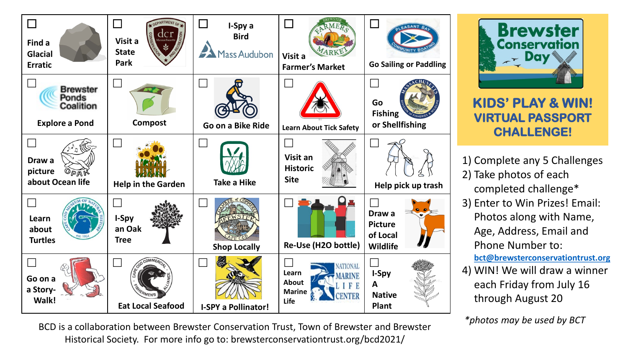

BCD is a collaboration between Brewster Conservation Trust, Town of Brewster and Brewster Historical Society. For more info go to: brewsterconservationtrust.org/bcd2021/

**Brewster Conservation** Dav

**KIDS' PLAY & WIN! VIRTUAL PASSPORT CHALLENGE!**

- 1) Complete any 5 Challenges 2) Take photos of each completed challenge\*
- 3) Enter to Win Prizes! Email: Photos along with Name, Age, Address, Email and Phone Number to: **[bct@brewsterconservationtrust.org](mailto:bct@brewsterconservationtrust.org)**
- 4) WIN! We will draw a winner each Friday from July 16 through August 20

*\*photos may be used by BCT*